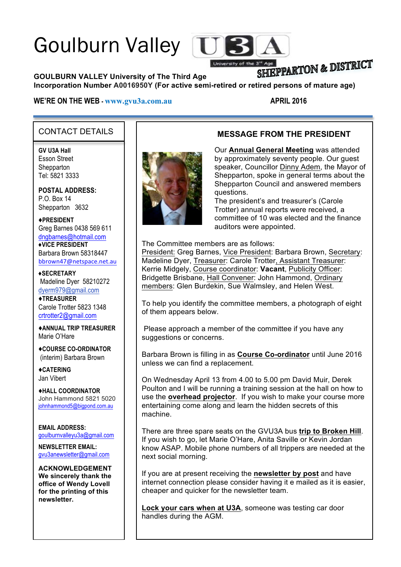# Goulburn Valley T



# SHIEPPARTON & DISTRICT

**GOULBURN VALLEY University of The Third Age** 

### **Incorporation Number A0016950Y (For active semi-retired or retired persons of mature age)**

#### **WE'RE ON THE WEB -**  $\frac{www.gvu3a.com.au}{www.gvu3a.com.au}$  **APRIL 2016**

**MESSAGE FROM THE PRESIDENT**

## CONTACT DETAILS

**GV U3A Hall** Esson Street **Shepparton** Tel: 5821 3333

**POSTAL ADDRESS:** P.O. Box 14 Shepparton 3632

♦**PRESIDENT** Greg Barnes 0438 569 611 dngbarnes@hotmail.com **♦VICE PRESIDENT** Barbara Brown 58318447 bbrown47@netspace.net.au

**♦SECRETARY** Madeline Dyer 58210272 dyerm979@gmail.com ♦**TREASURER** Carole Trotter 5823 1348 crtrotter2@gmail.com

♦**ANNUAL TRIP TREASURER** Marie O'Hare

♦**COURSE CO-ORDINATOR** (interim) Barbara Brown

♦**CATERING** Jan Vibert

♦**HALL COORDINATOR** John Hammond 5821 5020 johnhammond5@bigpond.com.au

**EMAIL ADDRESS:** goulburnvalleyu3a@gmail.com

**NEWSLETTER EMAIL:** gvu3anewsletter@gmail.com

**ACKNOWLEDGEMENT We sincerely thank the office of Wendy Lovell for the printing of this newsletter.**



Our **Annual General Meeting** was attended by approximately seventy people. Our guest speaker, Councillor Dinny Adem, the Mayor of Shepparton, spoke in general terms about the Shepparton Council and answered members

questions. The president's and treasurer's (Carole Trotter) annual reports were received, a committee of 10 was elected and the finance auditors were appointed.

The Committee members are as follows:

President: Greg Barnes, Vice President: Barbara Brown, Secretary: Madeline Dyer, Treasurer: Carole Trotter, Assistant Treasurer: Kerrie Midgely, Course coordinator: **Vacant**, Publicity Officer: Bridgette Brisbane, Hall Convener: John Hammond, Ordinary members: Glen Burdekin, Sue Walmsley, and Helen West.

To help you identify the committee members, a photograph of eight of them appears below.

Please approach a member of the committee if you have any suggestions or concerns.

Barbara Brown is filling in as **Course Co-ordinator** until June 2016 unless we can find a replacement.

On Wednesday April 13 from 4.00 to 5.00 pm David Muir, Derek Poulton and I will be running a training session at the hall on how to use the **overhead projector**. If you wish to make your course more entertaining come along and learn the hidden secrets of this machine.

There are three spare seats on the GVU3A bus **trip to Broken Hill**. If you wish to go, let Marie O'Hare, Anita Saville or Kevin Jordan know ASAP. Mobile phone numbers of all trippers are needed at the next social morning.

If you are at present receiving the **newsletter by post** and have internet connection please consider having it e mailed as it is easier, cheaper and quicker for the newsletter team.

**Lock your cars when at U3A**, someone was testing car door handles during the AGM.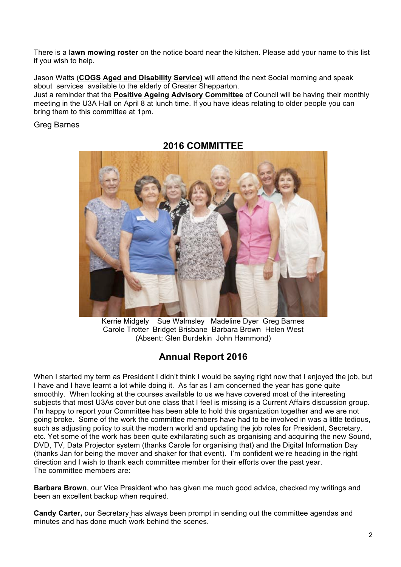There is a **lawn mowing roster** on the notice board near the kitchen. Please add your name to this list if you wish to help.

Jason Watts (**COGS Aged and Disability Service)** will attend the next Social morning and speak about services available to the elderly of Greater Shepparton.

Just a reminder that the **Positive Ageing Advisory Committee** of Council will be having their monthly meeting in the U3A Hall on April 8 at lunch time. If you have ideas relating to older people you can bring them to this committee at 1pm.

Greg Barnes



**2016 COMMITTEE**

Kerrie Midgely Sue Walmsley Madeline Dyer Greg Barnes Carole Trotter Bridget Brisbane Barbara Brown Helen West (Absent: Glen Burdekin John Hammond)

# **Annual Report 2016**

When I started my term as President I didn't think I would be saying right now that I enjoyed the job, but I have and I have learnt a lot while doing it. As far as I am concerned the year has gone quite smoothly. When looking at the courses available to us we have covered most of the interesting subjects that most U3As cover but one class that I feel is missing is a Current Affairs discussion group. I'm happy to report your Committee has been able to hold this organization together and we are not going broke. Some of the work the committee members have had to be involved in was a little tedious, such as adjusting policy to suit the modern world and updating the job roles for President, Secretary, etc. Yet some of the work has been quite exhilarating such as organising and acquiring the new Sound, DVD, TV, Data Projector system (thanks Carole for organising that) and the Digital Information Day (thanks Jan for being the mover and shaker for that event). I'm confident we're heading in the right direction and I wish to thank each committee member for their efforts over the past year. The committee members are:

**Barbara Brown**, our Vice President who has given me much good advice, checked my writings and been an excellent backup when required.

**Candy Carter,** our Secretary has always been prompt in sending out the committee agendas and minutes and has done much work behind the scenes.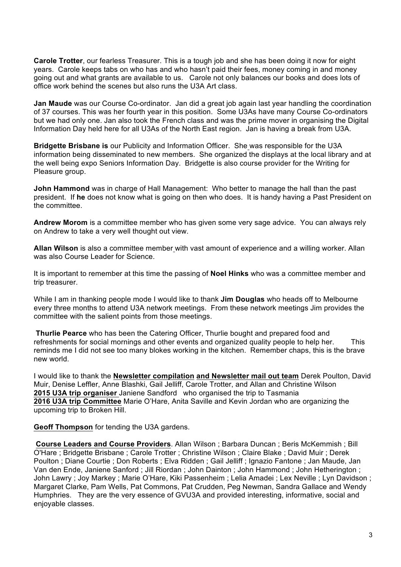**Carole Trotter**, our fearless Treasurer. This is a tough job and she has been doing it now for eight years. Carole keeps tabs on who has and who hasn't paid their fees, money coming in and money going out and what grants are available to us. Carole not only balances our books and does lots of office work behind the scenes but also runs the U3A Art class.

**Jan Maude** was our Course Co-ordinator. Jan did a great job again last year handling the coordination of 37 courses. This was her fourth year in this position. Some U3As have many Course Co-ordinators but we had only one. Jan also took the French class and was the prime mover in organising the Digital Information Day held here for all U3As of the North East region. Jan is having a break from U3A.

**Bridgette Brisbane is** our Publicity and Information Officer. She was responsible for the U3A information being disseminated to new members. She organized the displays at the local library and at the well being expo Seniors Information Day. Bridgette is also course provider for the Writing for Pleasure group.

**John Hammond** was in charge of Hall Management: Who better to manage the hall than the past president. If **he** does not know what is going on then who does. It is handy having a Past President on the committee.

**Andrew Morom** is a committee member who has given some very sage advice. You can always rely on Andrew to take a very well thought out view.

**Allan Wilson** is also a committee member with vast amount of experience and a willing worker. Allan was also Course Leader for Science.

It is important to remember at this time the passing of **Noel Hinks** who was a committee member and trip treasurer.

While I am in thanking people mode I would like to thank **Jim Douglas** who heads off to Melbourne every three months to attend U3A network meetings. From these network meetings Jim provides the committee with the salient points from those meetings.

**Thurlie Pearce** who has been the Catering Officer, Thurlie bought and prepared food and refreshments for social mornings and other events and organized quality people to help her. This reminds me I did not see too many blokes working in the kitchen. Remember chaps, this is the brave new world.

I would like to thank the **Newsletter compilation and Newsletter mail out team** Derek Poulton, David Muir, Denise Leffler, Anne Blashki, Gail Jelliff, Carole Trotter, and Allan and Christine Wilson **2015 U3A trip organiser** Janiene Sandford who organised the trip to Tasmania **2016 U3A trip Committee** Marie O'Hare, Anita Saville and Kevin Jordan who are organizing the upcoming trip to Broken Hill.

**Geoff Thompson** for tending the U3A gardens.

**Course Leaders and Course Providers**. Allan Wilson ; Barbara Duncan ; Beris McKemmish ; Bill O'Hare ; Bridgette Brisbane ; Carole Trotter ; Christine Wilson ; Claire Blake ; David Muir ; Derek Poulton ; Diane Courtie ; Don Roberts ; Elva Ridden ; Gail Jelliff ; Ignazio Fantone ; Jan Maude, Jan Van den Ende, Janiene Sanford ; Jill Riordan ; John Dainton ; John Hammond ; John Hetherington ; John Lawry ; Joy Markey ; Marie O'Hare, Kiki Passenheim ; Lelia Amadei ; Lex Neville ; Lyn Davidson ; Margaret Clarke, Pam Wells, Pat Commons, Pat Crudden, Peg Newman, Sandra Gallace and Wendy Humphries. They are the very essence of GVU3A and provided interesting, informative, social and enjoyable classes.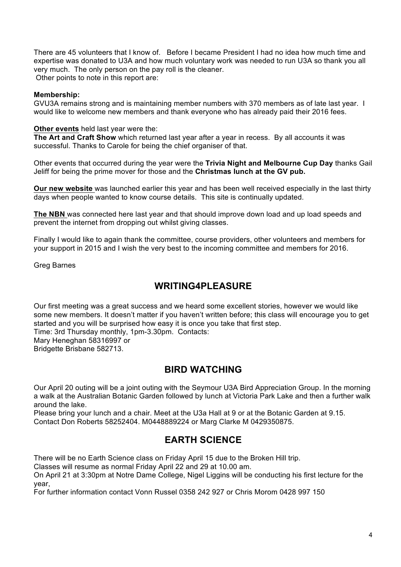There are 45 volunteers that I know of. Before I became President I had no idea how much time and expertise was donated to U3A and how much voluntary work was needed to run U3A so thank you all very much. The only person on the pay roll is the cleaner. Other points to note in this report are:

#### **Membership:**

GVU3A remains strong and is maintaining member numbers with 370 members as of late last year. I would like to welcome new members and thank everyone who has already paid their 2016 fees.

#### **Other events** held last year were the:

**The Art and Craft Show** which returned last year after a year in recess. By all accounts it was successful. Thanks to Carole for being the chief organiser of that.

Other events that occurred during the year were the **Trivia Night and Melbourne Cup Day** thanks Gail Jeliff for being the prime mover for those and the **Christmas lunch at the GV pub.** 

**Our new website** was launched earlier this year and has been well received especially in the last thirty days when people wanted to know course details. This site is continually updated.

**The NBN** was connected here last year and that should improve down load and up load speeds and prevent the internet from dropping out whilst giving classes.

Finally I would like to again thank the committee, course providers, other volunteers and members for your support in 2015 and I wish the very best to the incoming committee and members for 2016.

Greg Barnes

## **WRITING4PLEASURE**

Our first meeting was a great success and we heard some excellent stories, however we would like some new members. It doesn't matter if you haven't written before; this class will encourage you to get started and you will be surprised how easy it is once you take that first step. Time: 3rd Thursday monthly, 1pm-3.30pm. Contacts: Mary Heneghan 58316997 or Bridgette Brisbane 582713.

### **BIRD WATCHING**

Our April 20 outing will be a joint outing with the Seymour U3A Bird Appreciation Group. In the morning a walk at the Australian Botanic Garden followed by lunch at Victoria Park Lake and then a further walk around the lake.

Please bring your lunch and a chair. Meet at the U3a Hall at 9 or at the Botanic Garden at 9.15. Contact Don Roberts 58252404. M0448889224 or Marg Clarke M 0429350875.

## **EARTH SCIENCE**

There will be no Earth Science class on Friday April 15 due to the Broken Hill trip.

Classes will resume as normal Friday April 22 and 29 at 10.00 am.

On April 21 at 3:30pm at Notre Dame College, Nigel Liggins will be conducting his first lecture for the year,

For further information contact Vonn Russel 0358 242 927 or Chris Morom 0428 997 150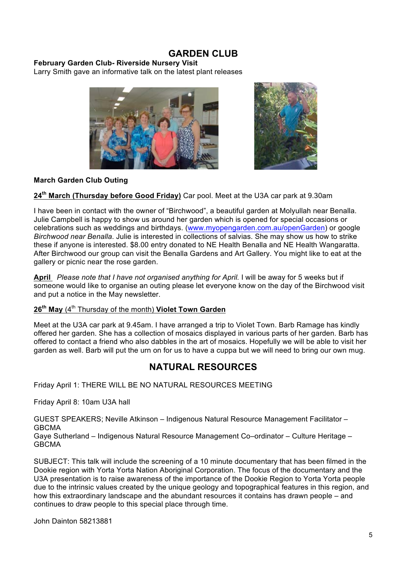## **GARDEN CLUB**

#### **February Garden Club- Riverside Nursery Visit**

Larry Smith gave an informative talk on the latest plant releases





#### **March Garden Club Outing**

#### **24th March (Thursday before Good Friday)** Car pool. Meet at the U3A car park at 9.30am

I have been in contact with the owner of "Birchwood", a beautiful garden at Molyullah near Benalla. Julie Campbell is happy to show us around her garden which is opened for special occasions or celebrations such as weddings and birthdays. (www.myopengarden.com.au/openGarden) or google *Birchwood near Benalla*. Julie is interested in collections of salvias. She may show us how to strike these if anyone is interested. \$8.00 entry donated to NE Health Benalla and NE Health Wangaratta. After Birchwood our group can visit the Benalla Gardens and Art Gallery. You might like to eat at the gallery or picnic near the rose garden.

**April** *Please note that I have not organised anything for April.* I will be away for 5 weeks but if someone would like to organise an outing please let everyone know on the day of the Birchwood visit and put a notice in the May newsletter.

#### **26th May** (4th Thursday of the month) **Violet Town Garden**

Meet at the U3A car park at 9.45am. I have arranged a trip to Violet Town. Barb Ramage has kindly offered her garden. She has a collection of mosaics displayed in various parts of her garden. Barb has offered to contact a friend who also dabbles in the art of mosaics. Hopefully we will be able to visit her garden as well. Barb will put the urn on for us to have a cuppa but we will need to bring our own mug.

## **NATURAL RESOURCES**

Friday April 1: THERE WILL BE NO NATURAL RESOURCES MEETING

Friday April 8: 10am U3A hall

GUEST SPEAKERS; Neville Atkinson – Indigenous Natural Resource Management Facilitator – GBCMA

Gaye Sutherland – Indigenous Natural Resource Management Co–ordinator – Culture Heritage – GBCMA

SUBJECT: This talk will include the screening of a 10 minute documentary that has been filmed in the Dookie region with Yorta Yorta Nation Aboriginal Corporation. The focus of the documentary and the U3A presentation is to raise awareness of the importance of the Dookie Region to Yorta Yorta people due to the intrinsic values created by the unique geology and topographical features in this region, and how this extraordinary landscape and the abundant resources it contains has drawn people – and continues to draw people to this special place through time.

John Dainton 58213881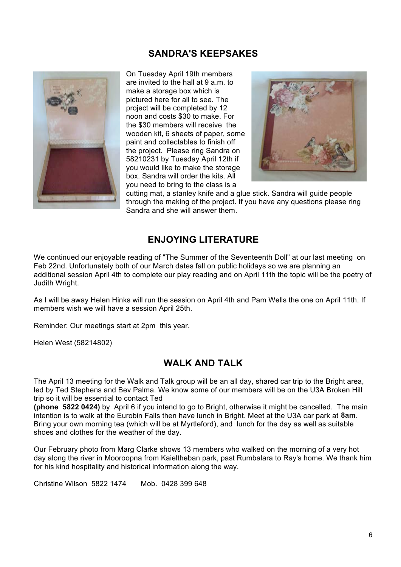## **SANDRA'S KEEPSAKES**



On Tuesday April 19th members are invited to the hall at 9 a.m. to make a storage box which is pictured here for all to see. The project will be completed by 12 noon and costs \$30 to make. For the \$30 members will receive the wooden kit, 6 sheets of paper, some paint and collectables to finish off the project. Please ring Sandra on 58210231 by Tuesday April 12th if you would like to make the storage box. Sandra will order the kits. All you need to bring to the class is a



cutting mat, a stanley knife and a glue stick. Sandra will guide people through the making of the project. If you have any questions please ring Sandra and she will answer them.

## **ENJOYING LITERATURE**

We continued our enjoyable reading of "The Summer of the Seventeenth Doll" at our last meeting on Feb 22nd. Unfortunately both of our March dates fall on public holidays so we are planning an additional session April 4th to complete our play reading and on April 11th the topic will be the poetry of Judith Wright.

As I will be away Helen Hinks will run the session on April 4th and Pam Wells the one on April 11th. If members wish we will have a session April 25th.

Reminder: Our meetings start at 2pm this year.

Helen West (58214802)

## **WALK AND TALK**

The April 13 meeting for the Walk and Talk group will be an all day, shared car trip to the Bright area, led by Ted Stephens and Bev Palma. We know some of our members will be on the U3A Broken Hill trip so it will be essential to contact Ted

**(phone 5822 0424)** by April 6 if you intend to go to Bright, otherwise it might be cancelled. The main intention is to walk at the Eurobin Falls then have lunch in Bright. Meet at the U3A car park at **8am**. Bring your own morning tea (which will be at Myrtleford), and lunch for the day as well as suitable shoes and clothes for the weather of the day.

Our February photo from Marg Clarke shows 13 members who walked on the morning of a very hot day along the river in Mooroopna from Kaieltheban park, past Rumbalara to Ray's home. We thank him for his kind hospitality and historical information along the way.

Christine Wilson 5822 1474 Mob. 0428 399 648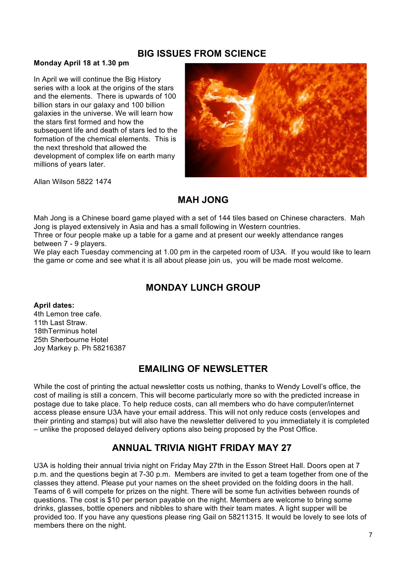## **BIG ISSUES FROM SCIENCE**

#### **Monday April 18 at 1.30 pm**

In April we will continue the Big History series with a look at the origins of the stars and the elements. There is upwards of 100 billion stars in our galaxy and 100 billion galaxies in the universe. We will learn how the stars first formed and how the subsequent life and death of stars led to the formation of the chemical elements. This is the next threshold that allowed the development of complex life on earth many millions of years later.



Allan Wilson 5822 1474

# **MAH JONG**

Mah Jong is a Chinese board game played with a set of 144 tiles based on Chinese characters. Mah Jong is played extensively in Asia and has a small following in Western countries.

Three or four people make up a table for a game and at present our weekly attendance ranges between 7 - 9 players.

We play each Tuesday commencing at 1.00 pm in the carpeted room of U3A. If you would like to learn the game or come and see what it is all about please join us, you will be made most welcome.

# **MONDAY LUNCH GROUP**

**April dates:** 4th Lemon tree cafe. 11th Last Straw. 18thTerminus hotel 25th Sherbourne Hotel Joy Markey p. Ph 58216387

# **EMAILING OF NEWSLETTER**

While the cost of printing the actual newsletter costs us nothing, thanks to Wendy Lovell's office, the cost of mailing is still a concern. This will become particularly more so with the predicted increase in postage due to take place. To help reduce costs, can all members who do have computer/internet access please ensure U3A have your email address. This will not only reduce costs (envelopes and their printing and stamps) but will also have the newsletter delivered to you immediately it is completed – unlike the proposed delayed delivery options also being proposed by the Post Office.

# **ANNUAL TRIVIA NIGHT FRIDAY MAY 27**

U3A is holding their annual trivia night on Friday May 27th in the Esson Street Hall. Doors open at 7 p.m. and the questions begin at 7-30 p.m. Members are invited to get a team together from one of the classes they attend. Please put your names on the sheet provided on the folding doors in the hall. Teams of 6 will compete for prizes on the night. There will be some fun activities between rounds of questions. The cost is \$10 per person payable on the night. Members are welcome to bring some drinks, glasses, bottle openers and nibbles to share with their team mates. A light supper will be provided too. If you have any questions please ring Gail on 58211315. It would be lovely to see lots of members there on the night.